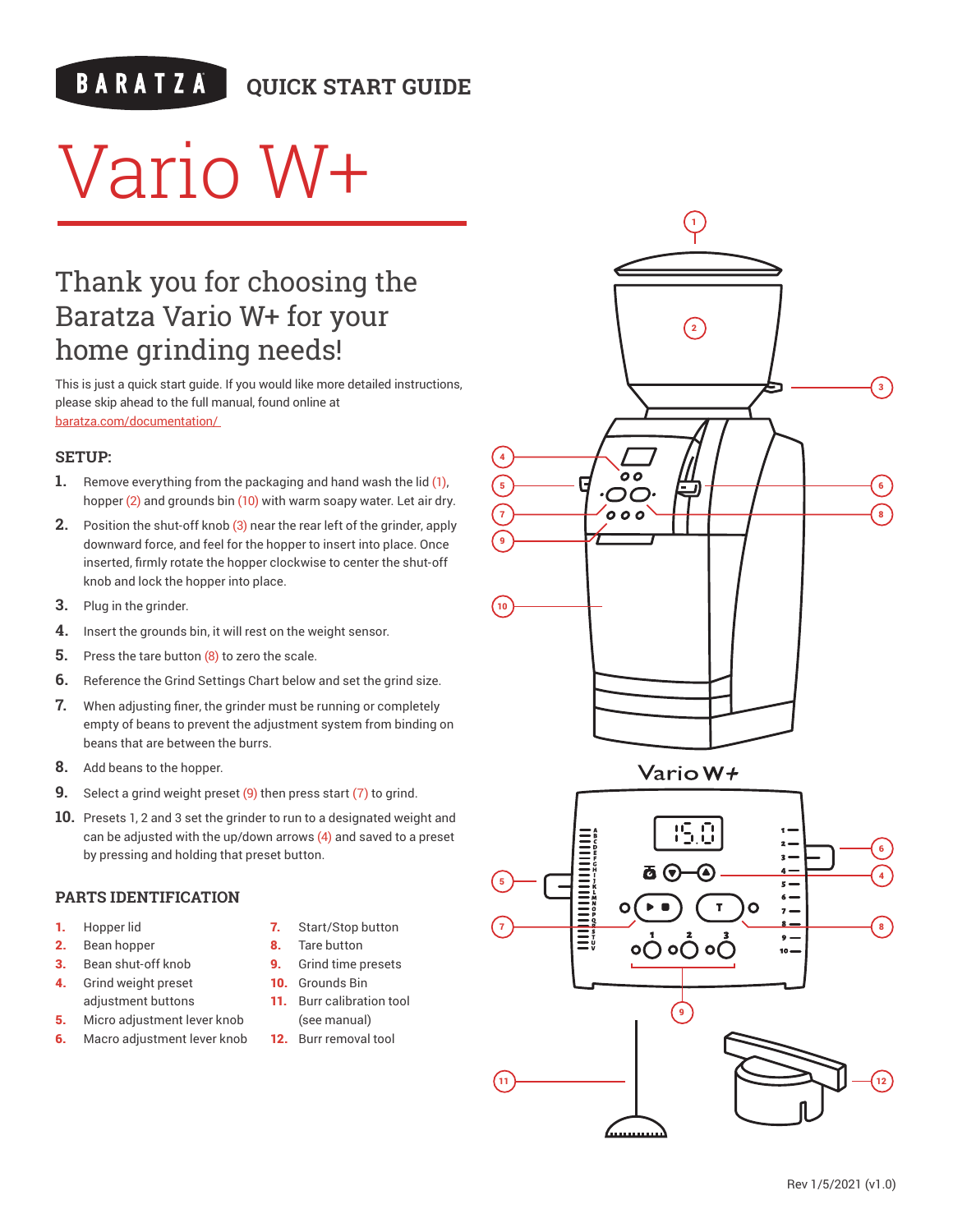## **QUICK START GUIDE**

# Vario W+

# Thank you for choosing the Baratza Vario W+ for your home grinding needs!

This is just a quick start guide. If you would like more detailed instructions, please skip ahead to the full manual, found online at baratza.com/documentation/

#### **SETUP:**

- **1.** Remove everything from the packaging and hand wash the lid (1), hopper (2) and grounds bin (10) with warm soapy water. Let air dry.
- **2.** Position the shut-off knob (3) near the rear left of the grinder, apply downward force, and feel for the hopper to insert into place. Once inserted, firmly rotate the hopper clockwise to center the shut-off knob and lock the hopper into place.
- **3.** Plug in the grinder.
- **4.** Insert the grounds bin, it will rest on the weight sensor.
- **5.** Press the tare button (8) to zero the scale.
- **6.** Reference the Grind Settings Chart below and set the grind size.
- **7.** When adjusting finer, the grinder must be running or completely empty of beans to prevent the adjustment system from binding on beans that are between the burrs.
- **8.** Add beans to the hopper.
- **9.** Select a grind weight preset (9) then press start (7) to grind.
- **10.** Presets 1, 2 and 3 set the grinder to run to a designated weight and can be adjusted with the up/down arrows (4) and saved to a preset by pressing and holding that preset button.

#### **PARTS IDENTIFICATION**

- 1. Hopper lid
- 2. Bean hopper
- 3. Bean shut-off knob
- 4. Grind weight preset adjustment buttons
- **5.** Micro adjustment lever knob **6.** Macro adjustment lever knob
- 7. Start/Stop button
- 8. Tare button
- 9. Grind time presets
- 10. Grounds Bin
- 11. Burr calibration tool (see manual)
- 12. Burr removal tool